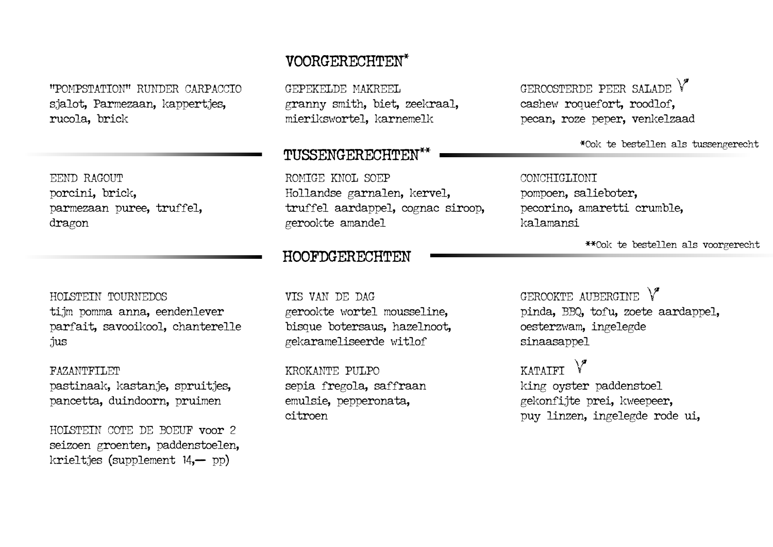"POMPSTATION" RUNDER CARPACCIO sjalot, Parmezaan, kappertjes, rucola, brick

EEND RAGOUT porcini, brick, parmezaan puree, truffel, dragon

HOLSTEIN TOURNEDOS tijm pomma anna, eendenlever parfait, savooikool, chanterelle jus

FAZANTFILET pastinaak, kastanje, spruitjes, pancetta, duindoorn, pruimen

HOLSTEIN COTE DE BOEUF voor 2 seizoen groenten, paddenstoelen, krieltjes (supplement 14,— pp)

## VOORGERECHTEN\*

GEPEKELDE MAKREEL granny smith, biet, zeekraal, mierikswortel, karnemelk

ROMIGE KNOL SOEP Hollandse garnalen, kervel, truffel aardappel, cognac siroop, gerookte amandel

## HOOFDGERECHTEN

VIS VAN DE DAG gerookte wortel mousseline, bisque botersaus, hazelnoot, gekarameliseerde witlof

KROKANTE PULPO sepia fregola, saffraan emulsie, pepperonata, citroen

GEROOSTERDE PEER SALADE cashew roquefort, roodlof, pecan, roze peper, venkelzaad

TUSSENGERECHTEN\*\*  $*$ Ook te bestellen als tussengerecht

### CONCHIGLIONI

pompoen, salieboter, pecorino, amaretti crumble, kalamansi

\*\*Ook te bestellen als voorgerecht

GEROOKTE AUBERGINE pinda, BBQ, tofu, zoete aardappel, oesterzwam, ingelegde sinaasappel

**KATAIFT** king oyster paddenstoel gekonfijte prei, kweepeer, puy linzen, ingelegde rode ui,